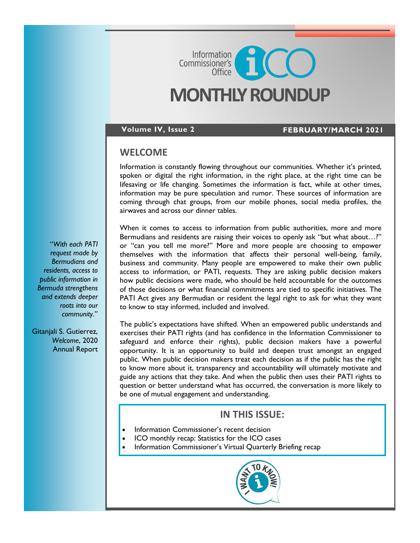# **MONTHLY ROUNDUP**

Commissioner's<br>Commissioner's

#### **Volume IV, Issue 2 FEBRUARY/MARCH 2021**

#### **WELCOME**

Information is constantly flowing throughout our communities. Whether it's printed, spoken or digital the right information, in the right place, at the right time can be lifesaving or life changing. Sometimes the information is fact, while at other times, information may be pure speculation and rumor. These sources of information are coming through chat groups, from our mobile phones, social media profiles, the airwaves and across our dinner tables.

"*With each PATI request made by Bermudians and residents, access to public information in Bermuda strengthens and extends deeper roots into our community*."

Gitanjali S. Gutierrez, *Welcome*, 2020 Annual Report When it comes to access to information from public authorities, more and more Bermudians and residents are raising their voices to openly ask "but what about...?" or "can you tell me more?" More and more people are choosing to empower themselves with the information that affects their personal well-being, family, business and community. Many people are empowered to make their own public access to information, or PATI, requests. They are asking public decision makers how public decisions were made, who should be held accountable for the outcomes of those decisions or what financial commitments are tied to specific initiatives. The PATI Act gives any Bermudian or resident the legal right to ask for what they want to know to stay informed, included and involved.

The public's expectations have shifted. When an empowered public understands and exercises their PATI rights (and has confidence in the Information Commissioner to safeguard and enforce their rights), public decision makers have a powerful opportunity. It is an opportunity to build and deepen trust amongst an engaged public. When public decision makers treat each decision as if the public has the right to know more about it, transparency and accountability will ultimately motivate and guide any actions that they take. And when the public then uses their PATI rights to question or better understand what has occurred, the conversation is more likely to be one of mutual engagement and understanding.

### **IN THIS ISSUE:**

- Information Commissioner's recent decision
- ICO monthly recap: Statistics for the ICO cases
- Information Commissioner's Virtual Quarterly Briefing recap

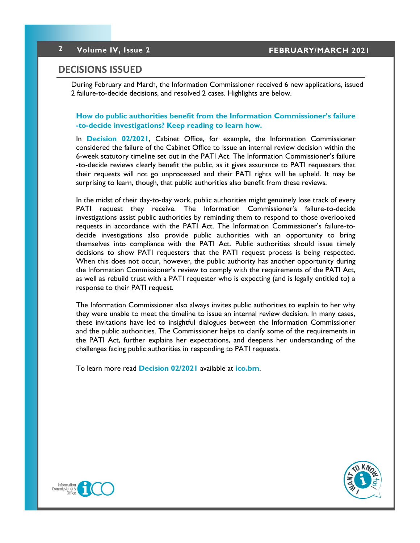### **DECISIONS ISSUED**

During February and March, the Information Commissioner received 6 new applications, issued 2 failure-to-decide decisions, and resolved 2 cases. Highlights are below.

**How do public authorities benefit from the Information Commissioner's failure -to-decide investigations? Keep reading to learn how.**

In **[Decision 02/2021](https://8692bafe-a59b-4adf-8b95-61e6b6541d57.filesusr.com/ugd/5803dc_20a7e48f3e544fbb90b85f6b3e85b7ad.pdf)**, Cabinet Office, for example, the Information Commissioner considered the failure of the Cabinet Office to issue an internal review decision within the 6-week statutory timeline set out in the PATI Act. The Information Commissioner's failure -to-decide reviews clearly benefit the public, as it gives assurance to PATI requesters that their requests will not go unprocessed and their PATI rights will be upheld. It may be surprising to learn, though, that public authorities also benefit from these reviews.

In the midst of their day-to-day work, public authorities might genuinely lose track of every PATI request they receive. The Information Commissioner's failure-to-decide investigations assist public authorities by reminding them to respond to those overlooked requests in accordance with the PATI Act. The Information Commissioner's failure-todecide investigations also provide public authorities with an opportunity to bring themselves into compliance with the PATI Act. Public authorities should issue timely decisions to show PATI requesters that the PATI request process is being respected. When this does not occur, however, the public authority has another opportunity during the Information Commissioner's review to comply with the requirements of the PATI Act, as well as rebuild trust with a PATI requester who is expecting (and is legally entitled to) a response to their PATI request.

The Information Commissioner also always invites public authorities to explain to her why they were unable to meet the timeline to issue an internal review decision. In many cases, these invitations have led to insightful dialogues between the Information Commissioner and the public authorities. The Commissioner helps to clarify some of the requirements in the PATI Act, further explains her expectations, and deepens her understanding of the challenges facing public authorities in responding to PATI requests.

To learn more read **[Decision 02/2021](https://8692bafe-a59b-4adf-8b95-61e6b6541d57.filesusr.com/ugd/5803dc_20a7e48f3e544fbb90b85f6b3e85b7ad.pdf)** available at **[ico.bm](http://www.ico.bm)**.